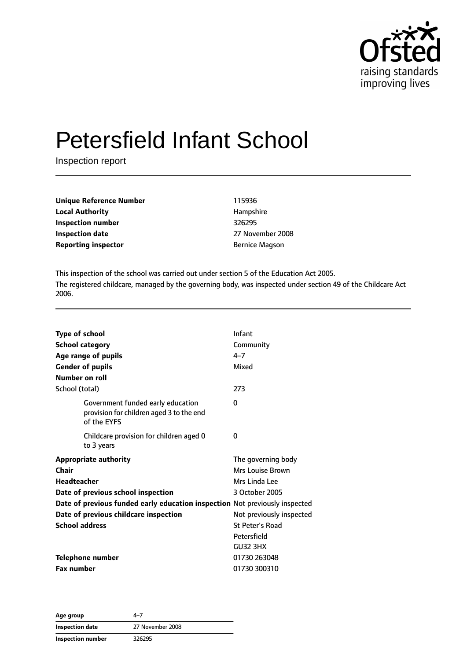

# Petersfield Infant School

Inspection report

| Unique Reference Number    | 115936                |
|----------------------------|-----------------------|
| <b>Local Authority</b>     | Hampshire             |
| Inspection number          | 326295                |
| Inspection date            | 27 November 2008      |
| <b>Reporting inspector</b> | <b>Bernice Magson</b> |

This inspection of the school was carried out under section 5 of the Education Act 2005. The registered childcare, managed by the governing body, was inspected under section 49 of the Childcare Act 2006.

| <b>Type of school</b> |                                                                                              | Infant                   |
|-----------------------|----------------------------------------------------------------------------------------------|--------------------------|
|                       | <b>School category</b>                                                                       | Community                |
|                       | Age range of pupils                                                                          | $4 - 7$                  |
|                       | <b>Gender of pupils</b>                                                                      | Mixed                    |
|                       | Number on roll                                                                               |                          |
| School (total)        |                                                                                              | 273                      |
|                       | Government funded early education<br>provision for children aged 3 to the end<br>of the EYFS | 0                        |
|                       | Childcare provision for children aged 0<br>to 3 years                                        | 0                        |
|                       | <b>Appropriate authority</b>                                                                 | The governing body       |
| Chair                 |                                                                                              | Mrs Louise Brown         |
| <b>Headteacher</b>    |                                                                                              | Mrs Linda Lee            |
|                       | Date of previous school inspection                                                           | 3 October 2005           |
|                       | Date of previous funded early education inspection Not previously inspected                  |                          |
|                       | Date of previous childcare inspection                                                        | Not previously inspected |
| <b>School address</b> |                                                                                              | <b>St Peter's Road</b>   |
|                       |                                                                                              | Petersfield              |
|                       |                                                                                              | <b>GU32 3HX</b>          |
|                       | <b>Telephone number</b>                                                                      | 01730 263048             |
| <b>Fax number</b>     |                                                                                              | 01730 300310             |

**Age group** 4–7 **Inspection date** 27 November 2008 **Inspection number** 326295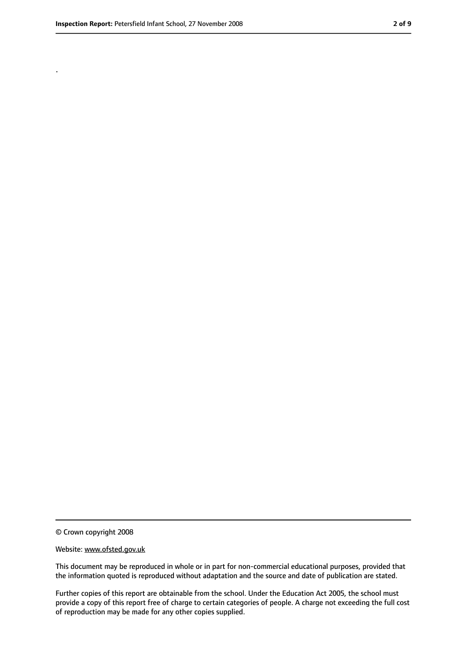.

<sup>©</sup> Crown copyright 2008

Website: www.ofsted.gov.uk

This document may be reproduced in whole or in part for non-commercial educational purposes, provided that the information quoted is reproduced without adaptation and the source and date of publication are stated.

Further copies of this report are obtainable from the school. Under the Education Act 2005, the school must provide a copy of this report free of charge to certain categories of people. A charge not exceeding the full cost of reproduction may be made for any other copies supplied.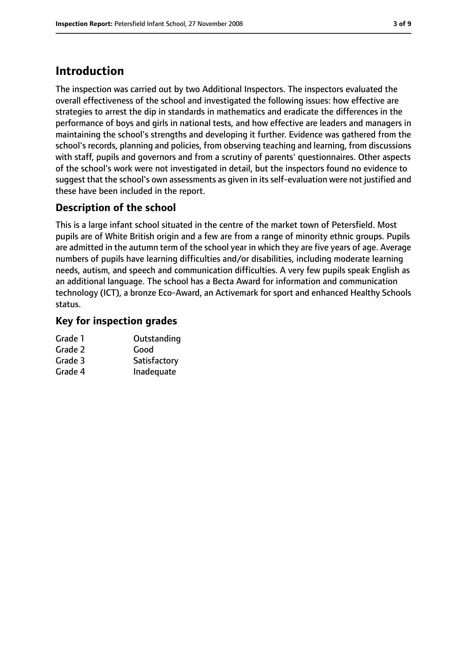## **Introduction**

The inspection was carried out by two Additional Inspectors. The inspectors evaluated the overall effectiveness of the school and investigated the following issues: how effective are strategies to arrest the dip in standards in mathematics and eradicate the differences in the performance of boys and girls in national tests, and how effective are leaders and managers in maintaining the school's strengths and developing it further. Evidence was gathered from the school's records, planning and policies, from observing teaching and learning, from discussions with staff, pupils and governors and from a scrutiny of parents' questionnaires. Other aspects of the school's work were not investigated in detail, but the inspectors found no evidence to suggest that the school's own assessments as given in its self-evaluation were not justified and these have been included in the report.

#### **Description of the school**

This is a large infant school situated in the centre of the market town of Petersfield. Most pupils are of White British origin and a few are from a range of minority ethnic groups. Pupils are admitted in the autumn term of the school year in which they are five years of age. Average numbers of pupils have learning difficulties and/or disabilities, including moderate learning needs, autism, and speech and communication difficulties. A very few pupils speak English as an additional language. The school has a Becta Award for information and communication technology (ICT), a bronze Eco-Award, an Activemark for sport and enhanced Healthy Schools status.

#### **Key for inspection grades**

| Outstanding  |
|--------------|
| Good         |
| Satisfactory |
| Inadequate   |
|              |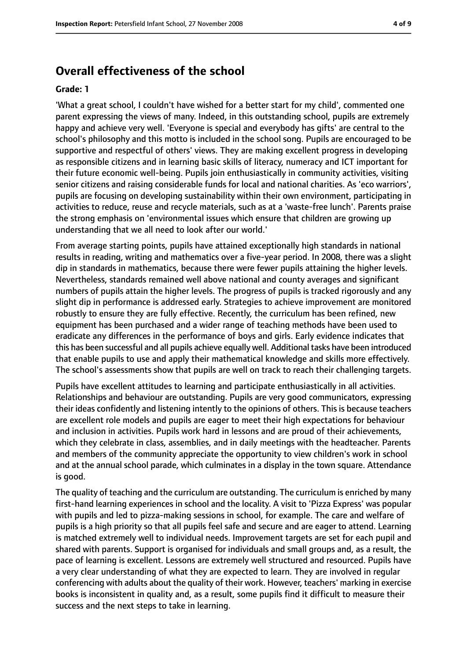#### **Overall effectiveness of the school**

#### **Grade: 1**

'What a great school, I couldn't have wished for a better start for my child', commented one parent expressing the views of many. Indeed, in this outstanding school, pupils are extremely happy and achieve very well. 'Everyone is special and everybody has gifts' are central to the school's philosophy and this motto is included in the school song. Pupils are encouraged to be supportive and respectful of others' views. They are making excellent progress in developing as responsible citizens and in learning basic skills of literacy, numeracy and ICT important for their future economic well-being. Pupils join enthusiastically in community activities, visiting senior citizens and raising considerable funds for local and national charities. As 'eco warriors', pupils are focusing on developing sustainability within their own environment, participating in activities to reduce, reuse and recycle materials, such as at a 'waste-free lunch'. Parents praise the strong emphasis on 'environmental issues which ensure that children are growing up understanding that we all need to look after our world.'

From average starting points, pupils have attained exceptionally high standards in national results in reading, writing and mathematics over a five-year period. In 2008, there was a slight dip in standards in mathematics, because there were fewer pupils attaining the higher levels. Nevertheless, standards remained well above national and county averages and significant numbers of pupils attain the higher levels. The progress of pupils is tracked rigorously and any slight dip in performance is addressed early. Strategies to achieve improvement are monitored robustly to ensure they are fully effective. Recently, the curriculum has been refined, new equipment has been purchased and a wider range of teaching methods have been used to eradicate any differences in the performance of boys and girls. Early evidence indicates that this has been successful and all pupils achieve equally well. Additional tasks have been introduced that enable pupils to use and apply their mathematical knowledge and skills more effectively. The school's assessments show that pupils are well on track to reach their challenging targets.

Pupils have excellent attitudes to learning and participate enthusiastically in all activities. Relationships and behaviour are outstanding. Pupils are very good communicators, expressing their ideas confidently and listening intently to the opinions of others. This is because teachers are excellent role models and pupils are eager to meet their high expectations for behaviour and inclusion in activities. Pupils work hard in lessons and are proud of their achievements, which they celebrate in class, assemblies, and in daily meetings with the headteacher. Parents and members of the community appreciate the opportunity to view children's work in school and at the annual school parade, which culminates in a display in the town square. Attendance is good.

The quality of teaching and the curriculum are outstanding. The curriculum is enriched by many first-hand learning experiences in school and the locality. A visit to 'Pizza Express' was popular with pupils and led to pizza-making sessions in school, for example. The care and welfare of pupils is a high priority so that all pupils feel safe and secure and are eager to attend. Learning is matched extremely well to individual needs. Improvement targets are set for each pupil and shared with parents. Support is organised for individuals and small groups and, as a result, the pace of learning is excellent. Lessons are extremely well structured and resourced. Pupils have a very clear understanding of what they are expected to learn. They are involved in regular conferencing with adults about the quality of their work. However, teachers' marking in exercise books is inconsistent in quality and, as a result, some pupils find it difficult to measure their success and the next steps to take in learning.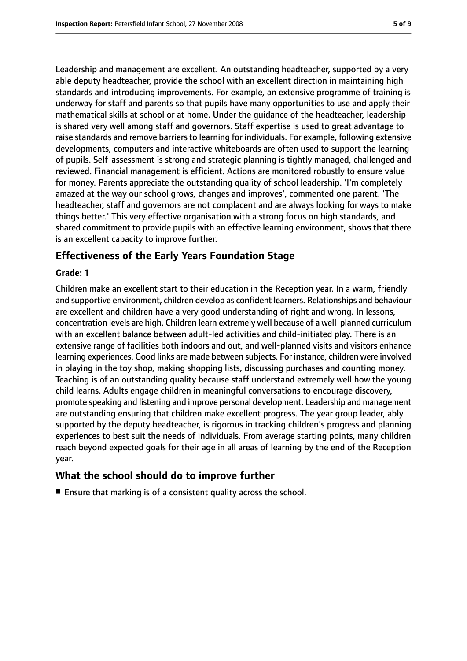Leadership and management are excellent. An outstanding headteacher, supported by a very able deputy headteacher, provide the school with an excellent direction in maintaining high standards and introducing improvements. For example, an extensive programme of training is underway for staff and parents so that pupils have many opportunities to use and apply their mathematical skills at school or at home. Under the guidance of the headteacher, leadership is shared very well among staff and governors. Staff expertise is used to great advantage to raise standards and remove barriers to learning for individuals. For example, following extensive developments, computers and interactive whiteboards are often used to support the learning of pupils. Self-assessment is strong and strategic planning is tightly managed, challenged and reviewed. Financial management is efficient. Actions are monitored robustly to ensure value for money. Parents appreciate the outstanding quality of school leadership. 'I'm completely amazed at the way our school grows, changes and improves', commented one parent. 'The headteacher, staff and governors are not complacent and are always looking for ways to make things better.' This very effective organisation with a strong focus on high standards, and shared commitment to provide pupils with an effective learning environment, shows that there is an excellent capacity to improve further.

#### **Effectiveness of the Early Years Foundation Stage**

#### **Grade: 1**

Children make an excellent start to their education in the Reception year. In a warm, friendly and supportive environment, children develop as confident learners. Relationships and behaviour are excellent and children have a very good understanding of right and wrong. In lessons, concentration levels are high. Children learn extremely well because of a well-planned curriculum with an excellent balance between adult-led activities and child-initiated play. There is an extensive range of facilities both indoors and out, and well-planned visits and visitors enhance learning experiences. Good links are made between subjects. For instance, children were involved in playing in the toy shop, making shopping lists, discussing purchases and counting money. Teaching is of an outstanding quality because staff understand extremely well how the young child learns. Adults engage children in meaningful conversations to encourage discovery, promote speaking and listening and improve personal development. Leadership and management are outstanding ensuring that children make excellent progress. The year group leader, ably supported by the deputy headteacher, is rigorous in tracking children's progress and planning experiences to best suit the needs of individuals. From average starting points, many children reach beyond expected goals for their age in all areas of learning by the end of the Reception year.

#### **What the school should do to improve further**

■ Ensure that marking is of a consistent quality across the school.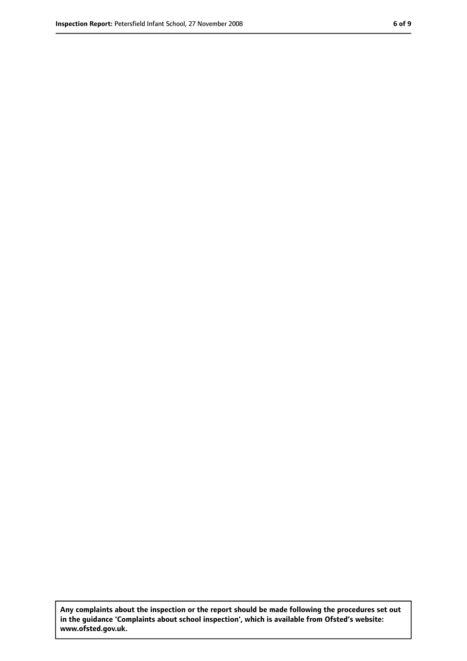**Any complaints about the inspection or the report should be made following the procedures set out in the guidance 'Complaints about school inspection', which is available from Ofsted's website: www.ofsted.gov.uk.**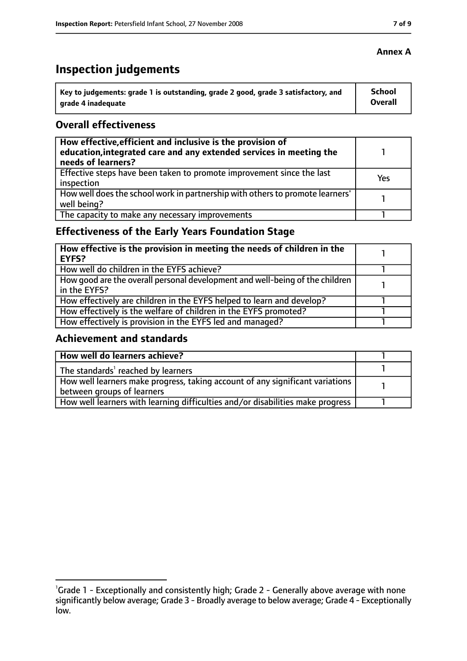# **Inspection judgements**

| \ Key to judgements: grade 1 is outstanding, grade 2 good, grade 3 satisfactory, and | <b>School</b>  |
|--------------------------------------------------------------------------------------|----------------|
| arade 4 inadequate                                                                   | <b>Overall</b> |

#### **Overall effectiveness**

| How effective, efficient and inclusive is the provision of<br>education, integrated care and any extended services in meeting the<br>needs of learners? |     |
|---------------------------------------------------------------------------------------------------------------------------------------------------------|-----|
| Effective steps have been taken to promote improvement since the last<br>inspection                                                                     | Yes |
| How well does the school work in partnership with others to promote learners'<br>well being?                                                            |     |
| The capacity to make any necessary improvements                                                                                                         |     |

## **Effectiveness of the Early Years Foundation Stage**

| How effective is the provision in meeting the needs of children in the<br>l EYFS?            |  |
|----------------------------------------------------------------------------------------------|--|
| How well do children in the EYFS achieve?                                                    |  |
| How good are the overall personal development and well-being of the children<br>in the EYFS? |  |
| How effectively are children in the EYFS helped to learn and develop?                        |  |
| How effectively is the welfare of children in the EYFS promoted?                             |  |
| How effectively is provision in the EYFS led and managed?                                    |  |

#### **Achievement and standards**

| How well do learners achieve?                                                  |  |
|--------------------------------------------------------------------------------|--|
| The standards <sup>1</sup> reached by learners                                 |  |
| How well learners make progress, taking account of any significant variations  |  |
| between groups of learners                                                     |  |
| How well learners with learning difficulties and/or disabilities make progress |  |

#### **Annex A**

<sup>&</sup>lt;sup>1</sup>Grade 1 - Exceptionally and consistently high; Grade 2 - Generally above average with none significantly below average; Grade 3 - Broadly average to below average; Grade 4 - Exceptionally low.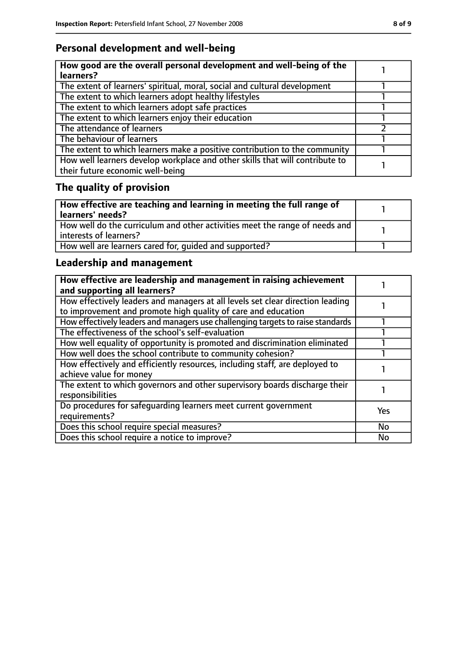## **Personal development and well-being**

| How good are the overall personal development and well-being of the<br>learners?                                 |  |
|------------------------------------------------------------------------------------------------------------------|--|
| The extent of learners' spiritual, moral, social and cultural development                                        |  |
| The extent to which learners adopt healthy lifestyles                                                            |  |
| The extent to which learners adopt safe practices                                                                |  |
| The extent to which learners enjoy their education                                                               |  |
| The attendance of learners                                                                                       |  |
| The behaviour of learners                                                                                        |  |
| The extent to which learners make a positive contribution to the community                                       |  |
| How well learners develop workplace and other skills that will contribute to<br>their future economic well-being |  |

# **The quality of provision**

| How effective are teaching and learning in meeting the full range of<br>learners' needs?              |  |
|-------------------------------------------------------------------------------------------------------|--|
| How well do the curriculum and other activities meet the range of needs and<br>interests of learners? |  |
| How well are learners cared for, quided and supported?                                                |  |

## **Leadership and management**

| How effective are leadership and management in raising achievement<br>and supporting all learners?                                              |           |
|-------------------------------------------------------------------------------------------------------------------------------------------------|-----------|
| How effectively leaders and managers at all levels set clear direction leading<br>to improvement and promote high quality of care and education |           |
| How effectively leaders and managers use challenging targets to raise standards                                                                 |           |
| The effectiveness of the school's self-evaluation                                                                                               |           |
| How well equality of opportunity is promoted and discrimination eliminated                                                                      |           |
| How well does the school contribute to community cohesion?                                                                                      |           |
| How effectively and efficiently resources, including staff, are deployed to<br>achieve value for money                                          |           |
| The extent to which governors and other supervisory boards discharge their<br>responsibilities                                                  |           |
| Do procedures for safequarding learners meet current government<br>requirements?                                                                | Yes       |
| Does this school require special measures?                                                                                                      | <b>No</b> |
| Does this school require a notice to improve?                                                                                                   | No        |